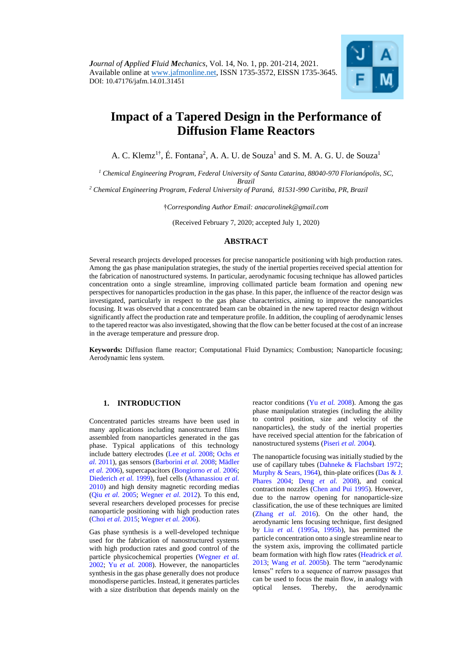

# **Impact of a Tapered Design in the Performance of Diffusion Flame Reactors**

A. C. Klemz<sup>1†</sup>, É. Fontana<sup>2</sup>, A. A. U. de Souza<sup>1</sup> and S. M. A. G. U. de Souza<sup>1</sup>

*<sup>1</sup> Chemical Engineering Program, Federal University of Santa Catarina, 88040-970 Florianópolis, SC, Brazil*

*<sup>2</sup> Chemical Engineering Program, Federal University of Paraná, 81531-990 Curitiba, PR, Brazil*

†*Corresponding Author Email: anacarolinek@gmail.com*

(Received February 7, 2020; accepted July 1, 2020)

## **ABSTRACT**

Several research projects developed processes for precise nanoparticle positioning with high production rates. Among the gas phase manipulation strategies, the study of the inertial properties received special attention for the fabrication of nanostructured systems. In particular, aerodynamic focusing technique has allowed particles concentration onto a single streamline, improving collimated particle beam formation and opening new perspectives for nanoparticles production in the gas phase. In this paper, the influence of the reactor design was investigated, particularly in respect to the gas phase characteristics, aiming to improve the nanoparticles focusing. It was observed that a concentrated beam can be obtained in the new tapered reactor design without significantly affect the production rate and temperature profile. In addition, the coupling of aerodynamic lenses to the tapered reactor was also investigated, showing that the flow can be better focused at the cost of an increase in the average temperature and pressure drop.

**Keywords:** Diffusion flame reactor; Computational Fluid Dynamics; Combustion; Nanoparticle focusing; Aerodynamic lens system.

# **1. INTRODUCTION**

Concentrated particles streams have been used in many applications including nanostructured films assembled from nanoparticles generated in the gas phase. Typical applications of this technology include battery electrodes (Lee *et al.* 2008; [Ochs](#page-13-0) *et al.* [2011\)](#page-13-0), gas sensors (Barborini *et al.* 2008; [Mädler](#page-12-0)  *et al.* [2006\)](#page-12-0), supercapacitors (Bongiorno *et al.* 2006; [Diederich](#page-12-1) *et al.* 1999), fuel cells [\(Athanassiou](#page-12-2) *et al.*  [2010\)](#page-12-2) and high density magnetic recording medias (Qiu *et al.* [2005;](#page-13-1) Wegner *et al.* 2012). To this end, several researchers developed processes for precise nanoparticle positioning with high production rates [\(Choi](#page-12-3) *et al.* 2015; [Wegner](#page-13-2) *et al.* 2006).

Gas phase synthesis is a well-developed technique used for the fabrication of nanostructured systems with high production rates and good control of the particle physicochemical properties [\(Wegner](#page-13-3) *et al.* [2002;](#page-13-3) Yu *et al.* [2008\).](#page-13-4) However, the nanoparticles synthesis in the gas phase generally does not produce monodisperse particles. Instead, it generates particles with a size distribution that depends mainly on the reactor conditions (Yu *et al.* [2008\)](#page-13-4). Among the gas phase manipulation strategies (including the ability to control position, size and velocity of the nanoparticles), the study of the inertial properties have received special attention for the fabrication of nanostructured systems [\(Piseri](#page-13-5) *et al.* 2004).

The nanoparticle focusing was initially studied by the use of capillary tubes [\(Dahneke & Flachsbart](#page-12-4) 1972; [Murphy](#page-13-6) [& Sears, 1964\)](#page-13-6), thin-plate orifices [\(Das & J.](#page-12-5)  [Phares](#page-12-5) 2004; [Deng](#page-12-6) *et al.* 2008), and conical contraction nozzles [\(Chen and Pui](#page-12-7) 1995). However, due to the narrow opening for nanoparticle-size classification, the use of these techniques are limited [\(Zhang](#page-13-7) *et al.* 2016). On the other hand, the aerodynamic lens focusing technique, first designed by Liu *et al.* [\(1995a,](#page-12-8) [1995b\)](#page-12-9), has permitted the particle concentration onto a single streamline near to the system axis, improving the collimated particle beam formation with high flow rates [\(Headrick](#page-12-10) *et al.* [2013;](#page-12-10) [Wang](#page-13-8) *et al.* 2005b). The term "aerodynamic lenses" refers to a sequence of narrow passages that can be used to focus the main flow, in analogy with optical lenses. Thereby, the aerodynamic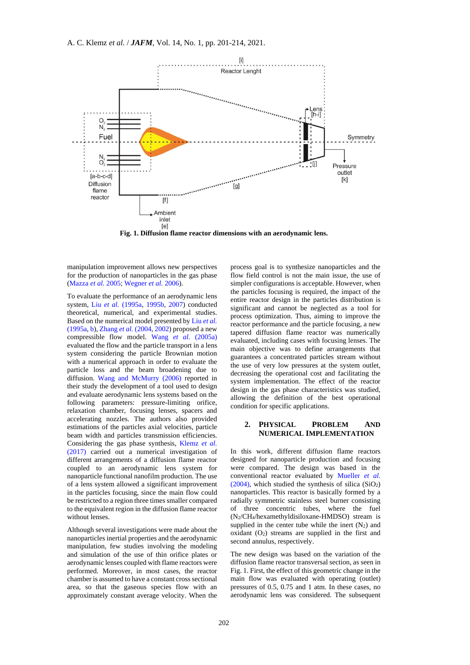

**Fig. 1. Diffusion flame reactor dimensions with an aerodynamic lens.**

manipulation improvement allows new perspectives for the production of nanoparticles in the gas phase (Mazza *et al.* 2005; [Wegner](#page-13-2) *et al.* 2006).

To evaluate the performance of an aerodynamic lens system, Liu *et al.* [\(1995a,](#page-12-8) [1995b,](#page-12-9) 2007) conducted theoretical, numerical, and experimental studies. Based on the numerical model presented by Liu *[et al.](#page-12-8)* [\(1995a,](#page-12-8) [b\)](#page-12-9), Zhang *et al.* (2004[, 2002\)](#page-13-9) proposed a new compressible flow model. Wang *et al.* (2005a) evaluated the flow and the particle transport in a lens system considering the particle Brownian motion with a numerical approach in order to evaluate the particle loss and the beam broadening due to diffusion. Wang and McMurry (2006) reported in their study the development of a tool used to design and evaluate aerodynamic lens systems based on the following parameters: pressure-limiting orifice, relaxation chamber, focusing lenses, spacers and accelerating nozzles. The authors also provided estimations of the particles axial velocities, particle beam width and particles transmission efficiencies. Considering the gas phase synthesis, Klemz *et al.* (2017) carried out a numerical investigation of different arrangements of a diffusion flame reactor coupled to an aerodynamic lens system for nanoparticle functional nanofilm production. The use of a lens system allowed a significant improvement in the particles focusing, since the main flow could be restricted to a region three times smaller compared to the equivalent region in the diffusion flame reactor without lenses.

Although several investigations were made about the nanoparticles inertial properties and the aerodynamic manipulation, few studies involving the modeling and simulation of the use of thin orifice plates or aerodynamic lenses coupled with flame reactors were performed. Moreover, in most cases, the reactor chamber is assumed to have a constant cross sectional area, so that the gaseous species flow with an approximately constant average velocity. When the process goal is to synthesize nanoparticles and the flow field control is not the main issue, the use of simpler configurations is acceptable. However, when the particles focusing is required, the impact of the entire reactor design in the particles distribution is significant and cannot be neglected as a tool for process optimization. Thus, aiming to improve the reactor performance and the particle focusing, a new tapered diffusion flame reactor was numerically evaluated, including cases with focusing lenses. The main objective was to define arrangements that guarantees a concentrated particles stream without the use of very low pressures at the system outlet, decreasing the operational cost and facilitating the system implementation. The effect of the reactor design in the gas phase characteristics was studied, allowing the definition of the best operational condition for specific applications.

#### **2. PHYSICAL PROBLEM AND NUMERICAL IMPLEMENTATION**

In this work, different diffusion flame reactors designed for nanoparticle production and focusing were compared. The design was based in the conventional reactor evaluated by Mueller *et al.*  $(2004)$ , which studied the synthesis of silica  $(SiO<sub>2</sub>)$ nanoparticles. This reactor is basically formed by a radially symmetric stainless steel burner consisting of three concentric tubes, where the fuel (N2/CH4/hexamethyldisiloxane-HMDSO) stream is supplied in the center tube while the inert  $(N_2)$  and oxidant  $(O_2)$  streams are supplied in the first and second annulus, respectively.

The new design was based on the variation of the diffusion flame reactor transversal section, as seen in Fig. 1. First, the effect of this geometric change in the main flow was evaluated with operating (outlet) pressures of 0.5, 0.75 and 1 atm. In these cases, no aerodynamic lens was considered. The subsequent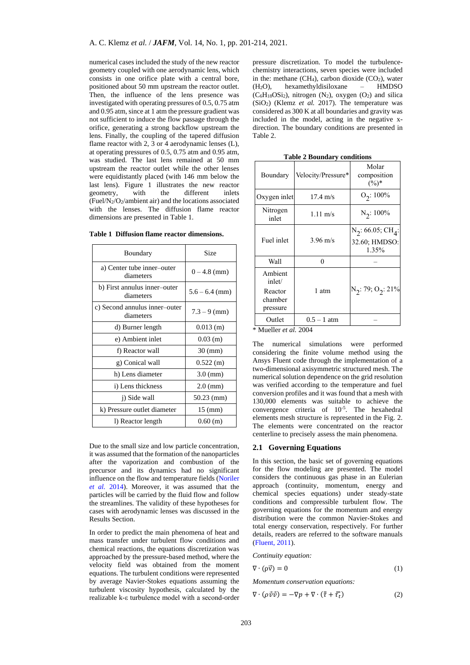numerical cases included the study of the new reactor geometry coupled with one aerodynamic lens, which consists in one orifice plate with a central bore, positioned about 50 mm upstream the reactor outlet. Then, the influence of the lens presence was investigated with operating pressures of 0.5, 0.75 atm and 0.95 atm, since at 1 atm the pressure gradient was not sufficient to induce the flow passage through the orifice, generating a strong backflow upstream the lens. Finally, the coupling of the tapered diffusion flame reactor with 2, 3 or 4 aerodynamic lenses (L), at operating pressures of 0.5, 0.75 atm and 0.95 atm, was studied. The last lens remained at 50 mm upstream the reactor outlet while the other lenses were equidistantly placed (with 146 mm below the last lens). Figure 1 illustrates the new reactor geometry, with the different inlets (Fuel/N2/O2/ambient air) and the locations associated with the lenses. The diffusion flame reactor dimensions are presented in Table 1.

| Boundary                                   | Size                 |
|--------------------------------------------|----------------------|
| a) Center tube inner-outer<br>diameters    | $0 - 4.8$ (mm)       |
| b) First annulus inner-outer<br>diameters  | $5.6 - 6.4$ (mm)     |
| c) Second annulus inner-outer<br>diameters | $7.3 - 9$ (mm)       |
| d) Burner length                           | $0.013$ (m)          |
| e) Ambient inlet                           | $0.03$ (m)           |
| f) Reactor wall                            | $30 \text{ (mm)}$    |
| g) Conical wall                            | 0.522(m)             |
| h) Lens diameter                           | $3.0 \, \text{(mm)}$ |
| i) Lens thickness                          | $2.0 \, \text{(mm)}$ |
| j) Side wall                               | 50.23 (mm)           |
| k) Pressure outlet diameter                | $15 \text{ (mm)}$    |
| 1) Reactor length                          | 0.60(m)              |

**Table 1 Diffusion flame reactor dimensions.**

Due to the small size and low particle concentration, it was assumed that the formation of the nanoparticles after the vaporization and combustion of the precursor and its dynamics had no significant influence on the flow and temperature fields [\(Noriler](#page-13-10)  *[et al.](#page-13-10)* 2014). Moreover, it was assumed that the particles will be carried by the fluid flow and follow the streamlines. The validity of these hypotheses for cases with aerodynamic lenses was discussed in the Results Section.

In order to predict the main phenomena of heat and mass transfer under turbulent flow conditions and chemical reactions, the equations discretization was approached by the pressure-based method, where the velocity field was obtained from the moment equations. The turbulent conditions were represented by average Navier-Stokes equations assuming the turbulent viscosity hypothesis, calculated by the realizable k-ε turbulence model with a second-order pressure discretization. To model the turbulencechemistry interactions, seven species were included in the: methane  $(CH<sub>4</sub>)$ , carbon dioxide  $(CO<sub>2</sub>)$ , water (H2O), hexamethyldisiloxane – HMDSO  $(C_6H_{18}OSi_2)$ , nitrogen  $(N_2)$ , oxygen  $(O_2)$  and silica (SiO2) (Klemz *et al.* 2017). The temperature was considered as 300 K at all boundaries and gravity was included in the model, acting in the negative xdirection. The boundary conditions are presented in Table 2.

| $1400C = 100$ and $\mu$ conditions                  |                        |                                                            |
|-----------------------------------------------------|------------------------|------------------------------------------------------------|
| Boundary                                            | Velocity/Pressure*     | Molar<br>composition<br>$(\%)^*$                           |
| Oxygen inlet                                        | $17.4 \text{ m/s}$     | $O_2$ : 100%                                               |
| Nitrogen<br>inlet                                   | $1.11 \text{ m/s}$     | $N_2$ : 100%                                               |
| Fuel inlet                                          | $3.96 \text{ m/s}$     | $N_2$ : 66.05; CH <sub>4</sub> :<br>32.60; HMDSO:<br>1.35% |
| Wall                                                | $\theta$               |                                                            |
| Ambient<br>inlet/<br>Reactor<br>chamber<br>pressure | 1 atm                  | $N_2$ : 79; O <sub>2</sub> : 21%                           |
| Outlet<br><b>J. 3 F.</b><br>11.                     | $0.5 - 1$ atm<br>0.001 |                                                            |

**Table 2 Boundary conditions**

\* Mueller *et al.* 2004

The numerical simulations were performed considering the finite volume method using the Ansys Fluent code through the implementation of a two-dimensional axisymmetric structured mesh. The numerical solution dependence on the grid resolution was verified according to the temperature and fuel conversion profiles and it was found that a mesh with 130,000 elements was suitable to achieve the convergence criteria of  $10^{-5}$ . The hexahedral elements mesh structure is represented in the Fig. 2. The elements were concentrated on the reactor centerline to precisely assess the main phenomena.

# **2.1 Governing Equations**

In this section, the basic set of governing equations for the flow modeling are presented. The model considers the continuous gas phase in an Eulerian approach (continuity, momentum, energy and chemical species equations) under steady-state conditions and compressible turbulent flow. The governing equations for the momentum and energy distribution were the common Navier-Stokes and total energy conservation, respectively. For further details, readers are referred to the software manuals [\(Fluent,](#page-12-11) 2011).

*Continuity equation:*

$$
\nabla \cdot (\rho \vec{v}) = 0 \tag{1}
$$

*Momentum conservation equations:*

$$
\nabla \cdot (\rho \vec{v} \vec{v}) = -\nabla p + \nabla \cdot (\bar{\bar{\tau}} + \bar{\bar{\tau}}_t)
$$
 (2)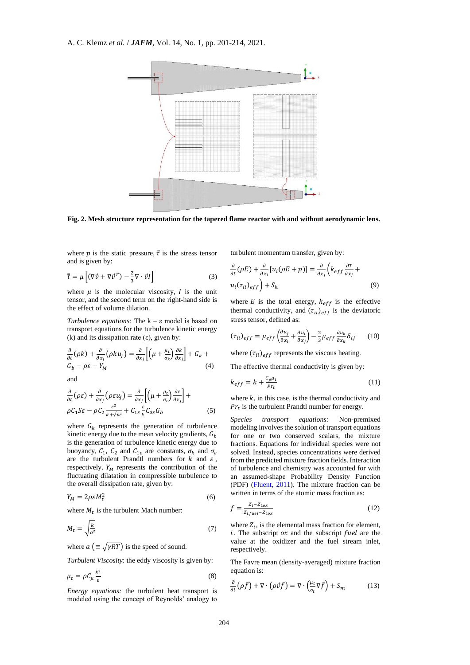

**Fig. 2. Mesh structure representation for the tapered flame reactor with and without aerodynamic lens.**

where p is the static pressure,  $\bar{\bar{\tau}}$  is the stress tensor and is given by:

$$
\overline{\overline{\tau}} = \mu \left[ (\nabla \vec{v} + \nabla \vec{v}^T) - \frac{2}{3} \nabla \cdot \vec{v} \right]
$$
 (3)

where  $\mu$  is the molecular viscosity,  $I$  is the unit tensor, and the second term on the right-hand side is the effect of volume dilation.

*Turbulence equations:* The k – ε model is based on transport equations for the turbulence kinetic energy (k) and its dissipation rate  $(\varepsilon)$ , given by:

$$
\frac{\partial}{\partial t}(\rho k) + \frac{\partial}{\partial x_j}(\rho k u_j) = \frac{\partial}{\partial x_j} \left[ \left( \mu + \frac{\mu_t}{\sigma_k} \right) \frac{\partial k}{\partial x_j} \right] + G_k +
$$
  
(4)

and

$$
\frac{\partial}{\partial t}(\rho \varepsilon) + \frac{\partial}{\partial x_j}(\rho \varepsilon u_j) = \frac{\partial}{\partial x_j} \left[ \left( \mu + \frac{\mu_t}{\sigma_\varepsilon} \right) \frac{\partial \varepsilon}{\partial x_j} \right] +
$$
\n
$$
\rho C_1 S \varepsilon - \rho C_2 \frac{\varepsilon^2}{k + \sqrt{\nu \varepsilon}} + C_{1\varepsilon} \frac{\varepsilon}{k} C_{3\varepsilon} G_b \tag{5}
$$

where  $G_k$  represents the generation of turbulence kinetic energy due to the mean velocity gradients,  $G_h$ is the generation of turbulence kinetic energy due to buoyancy,  $C_1$ ,  $C_2$  and  $C_{1\varepsilon}$  are constants,  $\sigma_k$  and  $\sigma_{\varepsilon}$ are the turbulent Prandtl numbers for  $k$  and  $\varepsilon$ , respectively.  $Y_M$  represents the contribution of the fluctuating dilatation in compressible turbulence to the overall dissipation rate, given by:

$$
Y_M = 2\rho \varepsilon M_t^2 \tag{6}
$$

where  $M_t$  is the turbulent Mach number:

$$
M_t = \sqrt{\frac{k}{a^2}}\tag{7}
$$

where  $a \left( \equiv \sqrt{\gamma RT} \right)$  is the speed of sound.

*Turbulent Viscosity*: the eddy viscosity is given by:

$$
\mu_t = \rho C_\mu \frac{k^2}{\varepsilon} \tag{8}
$$

*Energy equations:* the turbulent heat transport is modeled using the concept of Reynolds' analogy to

turbulent momentum transfer, given by:

$$
\frac{\partial}{\partial t}(\rho E) + \frac{\partial}{\partial x_i} [u_i(\rho E + p)] = \frac{\partial}{\partial x_j} \left( k_{eff} \frac{\partial T}{\partial x_j} + u_i (\tau_{ii})_{eff} \right) + S_h \tag{9}
$$

where  $E$  is the total energy,  $k_{eff}$  is the effective thermal conductivity, and  $(\tau_{ii})_{eff}$  is the deviatoric stress tensor, defined as:

$$
(\tau_{ii})_{eff} = \mu_{eff} \left( \frac{\partial u_j}{\partial x_i} + \frac{\partial u_i}{\partial x_j} \right) - \frac{2}{3} \mu_{eff} \frac{\partial u_k}{\partial x_k} \delta_{ij} \qquad (10)
$$

where  $(\tau_{ii})_{eff}$  represents the viscous heating.

The effective thermal conductivity is given by:

$$
k_{eff} = k + \frac{c_p \mu_t}{p_{r_t}} \tag{11}
$$

where  $k$ , in this case, is the thermal conductivity and  $Pr_t$  is the turbulent Prandtl number for energy.

*Species transport equations:* Non-premixed modeling involves the solution of transport equations for one or two conserved scalars, the mixture fractions. Equations for individual species were not solved. Instead, species concentrations were derived from the predicted mixture fraction fields. Interaction of turbulence and chemistry was accounted for with an assumed-shape Probability Density Function (PDF) [\(Fluent, 2011\)](#page-12-11). The mixture fraction can be written in terms of the atomic mass fraction as:

$$
f = \frac{z_i - z_{i,ox}}{z_{i, fuel} - z_{i,ox}}
$$
\n<sup>(12)</sup>

where  $Z_i$ , is the elemental mass fraction for element,  $i$ . The subscript  $\alpha x$  and the subscript fuel are the value at the oxidizer and the fuel stream inlet, respectively.

The Favre mean (density-averaged) mixture fraction equation is:

$$
\frac{\partial}{\partial t} \left( \rho \bar{f} \right) + \nabla \cdot \left( \rho \vec{v} \bar{f} \right) = \nabla \cdot \left( \frac{\mu_t}{\sigma_t} \nabla \bar{f} \right) + S_m \tag{13}
$$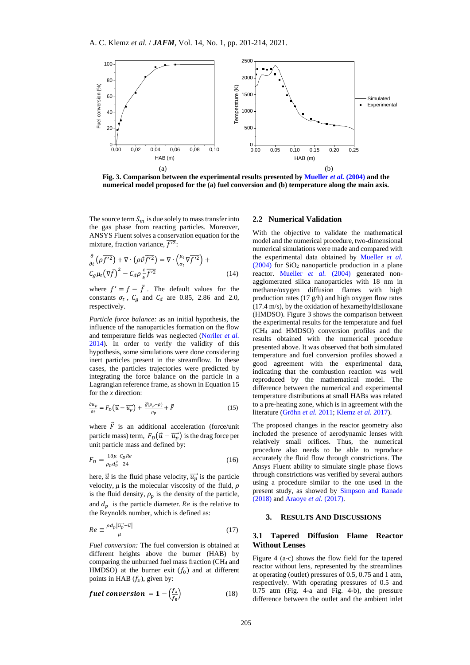

**Fig. 3. Comparison between the experimental results presented b[y Mueller](#page-13-11)** *et al.* **(2004) and the numerical model proposed for the (a) fuel conversion and (b) temperature along the main axis.**

The source term  $S_m$  is due solely to mass transfer into the gas phase from reacting particles. Moreover, ANSYS Fluent solves a conservation equation for the mixture, fraction variance,  $\overline{f'^2}$ :

$$
\frac{\partial}{\partial t} \left( \rho \overline{f'^2} \right) + \nabla \cdot \left( \rho \vec{v} \overline{f'^2} \right) = \nabla \cdot \left( \frac{\mu_t}{\sigma_t} \nabla \overline{f'^2} \right) +
$$
\n
$$
C_g \mu_t \left( \nabla \overline{f} \right)^2 - C_d \rho \frac{\varepsilon}{k} \overline{f'^2}
$$
\n(14)

where  $f' = f - \bar{f}$ . The default values for the constants  $\sigma_t$ ,  $C_g$  and  $C_d$  are 0.85, 2.86 and 2.0, respectively.

*Particle force balance:* as an initial hypothesis, the influence of the nanoparticles formation on the flow and temperature fields was neglected [\(Noriler](#page-13-10) *et al.* [2014\)](#page-13-10). In order to verify the validity of this hypothesis, some simulations were done considering inert particles present in the streamflow. In these cases, the particles trajectories were predicted by integrating the force balance on the particle in a Lagrangian reference frame, as shown in Equation 15 for the *x* direction:

$$
\frac{\partial u_p}{\partial t} = F_D \left( \vec{u} - \overrightarrow{u_p} \right) + \frac{\vec{g} \left( \rho_p - \rho \right)}{\rho_p} + \vec{F} \tag{15}
$$

where  $\vec{F}$  is an additional acceleration (force/unit particle mass) term,  $F_D(\vec{u} - \vec{u}_p)$  is the drag force per unit particle mass and defined by:

$$
F_D = \frac{18\mu}{\rho_p d_p^2} \frac{c_D Re}{24} \tag{16}
$$

here,  $\vec{u}$  is the fluid phase velocity,  $\vec{u}$  is the particle velocity,  $\mu$  is the molecular viscosity of the fluid,  $\rho$ is the fluid density,  $\rho_p$  is the density of the particle, and  $d_n$  is the particle diameter. Re is the relative to the Reynolds number, which is defined as:

$$
Re \equiv \frac{\rho d_p |\overline{u_p} - \overline{u}|}{\mu} \tag{17}
$$

*Fuel conversion:* The fuel conversion is obtained at different heights above the burner (HAB) by comparing the unburned fuel mass fraction (CH<sup>4</sup> and HMDSO) at the burner exit  $(f_0)$  and at different points in HAB  $(f_x)$ , given by:

*fuel conversion* = 
$$
1 - \left(\frac{f_x}{f_0}\right)
$$
 (18)

#### **2.2 Numerical Validation**

With the objective to validate the mathematical model and the numerical procedure, two-dimensional numerical simulations were made and compared with the experimental data obtained by Mueller *et al.*  $(2004)$  for SiO<sub>2</sub> nanoparticle production in a plane reactor. Mueller *et al.* (2004) generated nonagglomerated silica nanoparticles with 18 nm in methane/oxygen diffusion flames with high production rates (17 g/h) and high oxygen flow rates (17.4 m/s), by the oxidation of hexamethyldisiloxane (HMDSO). Figure 3 shows the comparison between the experimental results for the temperature and fuel (CH<sup>4</sup> and HMDSO) conversion profiles and the results obtained with the numerical procedure presented above. It was observed that both simulated temperature and fuel conversion profiles showed a good agreement with the experimental data, indicating that the combustion reaction was well reproduced by the mathematical model. The difference between the numerical and experimental temperature distributions at small HABs was related to a pre-heating zone, which is in agreement with the literature [\(Gröhn](#page-12-12) *et al.* 2011[; Klemz](#page-12-13) *et al.* 2017).

The proposed changes in the reactor geometry also included the presence of aerodynamic lenses with relatively small orifices. Thus, the numerical procedure also needs to be able to reproduce accurately the fluid flow through constrictions. The Ansys Fluent ability to simulate single phase flows through constrictions was verified by several authors using a procedure similar to the one used in the present study, as showed by Simpson and Ranade (2018) and Araoye *et al.* (2017).

# **3. RESULTS AND DISCUSSIONS**

#### **3.1 Tapered Diffusion Flame Reactor Without Lenses**

Figure 4 (a-c) shows the flow field for the tapered reactor without lens, represented by the streamlines at operating (outlet) pressures of 0.5, 0.75 and 1 atm, respectively. With operating pressures of 0.5 and 0.75 atm (Fig. 4-a and Fig. 4-b), the pressure difference between the outlet and the ambient inlet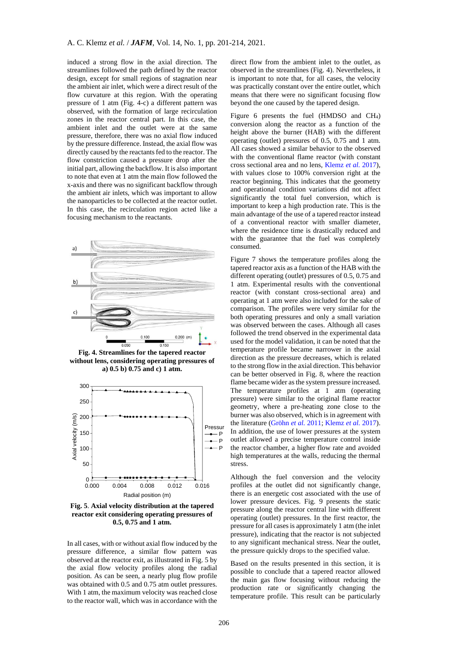induced a strong flow in the axial direction. The streamlines followed the path defined by the reactor design, except for small regions of stagnation near the ambient air inlet, which were a direct result of the flow curvature at this region. With the operating pressure of 1 atm (Fig. 4-c) a different pattern was observed, with the formation of large recirculation zones in the reactor central part. In this case, the ambient inlet and the outlet were at the same pressure, therefore, there was no axial flow induced by the pressure difference. Instead, the axial flow was directly caused by the reactants fed to the reactor. The flow constriction caused a pressure drop after the initial part, allowing the backflow. It is also important to note that even at 1 atm the main flow followed the x-axis and there was no significant backflow through the ambient air inlets, which was important to allow the nanoparticles to be collected at the reactor outlet. In this case, the recirculation region acted like a focusing mechanism to the reactants.



**Fig. 4. Streamlines for the tapered reactor without lens, considering operating pressures of a) 0.5 b) 0.75 and c) 1 atm.**



**Fig. 5**. **Axial velocity distribution at the tapered reactor exit considering operating pressures of 0.5, 0.75 and 1 atm.**

In all cases, with or without axial flow induced by the pressure difference, a similar flow pattern was observed at the reactor exit, as illustrated in Fig. 5 by the axial flow velocity profiles along the radial position. As can be seen, a nearly plug flow profile was obtained with 0.5 and 0.75 atm outlet pressures. With 1 atm, the maximum velocity was reached close to the reactor wall, which was in accordance with the direct flow from the ambient inlet to the outlet, as observed in the streamlines (Fig. 4). Nevertheless, it is important to note that, for all cases, the velocity was practically constant over the entire outlet, which means that there were no significant focusing flow beyond the one caused by the tapered design.

Figure 6 presents the fuel (HMDSO and CH4) conversion along the reactor as a function of the height above the burner (HAB) with the different operating (outlet) pressures of 0.5, 0.75 and 1 atm. All cases showed a similar behavior to the observed with the conventional flame reactor (with constant cross sectional area and no lens, [Klemz](#page-12-13) *et al.* 2017), with values close to 100% conversion right at the reactor beginning. This indicates that the geometry and operational condition variations did not affect significantly the total fuel conversion, which is important to keep a high production rate. This is the main advantage of the use of a tapered reactor instead of a conventional reactor with smaller diameter, where the residence time is drastically reduced and with the guarantee that the fuel was completely consumed.

Figure 7 shows the temperature profiles along the tapered reactor axis as a function of the HAB with the different operating (outlet) pressures of 0.5, 0.75 and 1 atm. Experimental results with the conventional reactor (with constant cross-sectional area) and operating at 1 atm were also included for the sake of comparison. The profiles were very similar for the both operating pressures and only a small variation was observed between the cases. Although all cases followed the trend observed in the experimental data used for the model validation, it can be noted that the temperature profile became narrower in the axial direction as the pressure decreases, which is related to the strong flow in the axial direction. This behavior can be better observed in Fig. 8, where the reaction flame became wider as the system pressure increased. The temperature profiles at  $1$  atm (operating pressure) were similar to the original flame reactor geometry, where a pre-heating zone close to the burner was also observed, which is in agreement with the literature [\(Gröhn](#page-12-12) *et al.* 2011; [Klemz](#page-12-13) *et al.* 2017).  $\frac{1}{p}$  In addition, the use of lower pressures at the system p outlet allowed a precise temperature control inside the reactor chamber, a higher flow rate and avoided high temperatures at the walls, reducing the thermal stress.

Although the fuel conversion and the velocity profiles at the outlet did not significantly change, there is an energetic cost associated with the use of lower pressure devices. Fig. 9 presents the static pressure along the reactor central line with different operating (outlet) pressures. In the first reactor, the pressure for all cases is approximately 1 atm (the inlet pressure), indicating that the reactor is not subjected to any significant mechanical stress. Near the outlet, the pressure quickly drops to the specified value.

Based on the results presented in this section, it is possible to conclude that a tapered reactor allowed the main gas flow focusing without reducing the production rate or significantly changing the temperature profile. This result can be particularly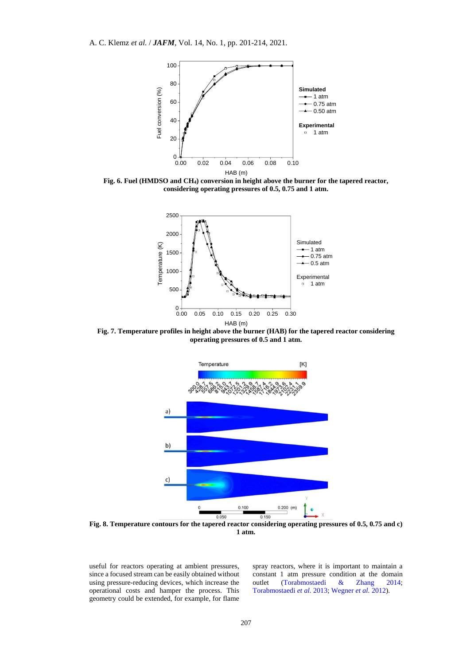

**Fig. 6. Fuel (HMDSO and CH4) conversion in height above the burner for the tapered reactor, considering operating pressures of 0.5, 0.75 and 1 atm.**



**Fig. 7. Temperature profiles in height above the burner (HAB) for the tapered reactor considering operating pressures of 0.5 and 1 atm.**



**1 atm.**

useful for reactors operating at ambient pressures, since a focused stream can be easily obtained without using pressure-reducing devices, which increase the operational costs and hamper the process. This geometry could be extended, for example, for flame

spray reactors, where it is important to maintain a constant 1 atm pressure condition at the domain outlet [\(Torabmostaedi &](#page-13-12) [Zhang 2014;](#page-13-12) [Torabmostaedi](#page-13-13) *et al.* 2013; Wegner *et al.* 2012).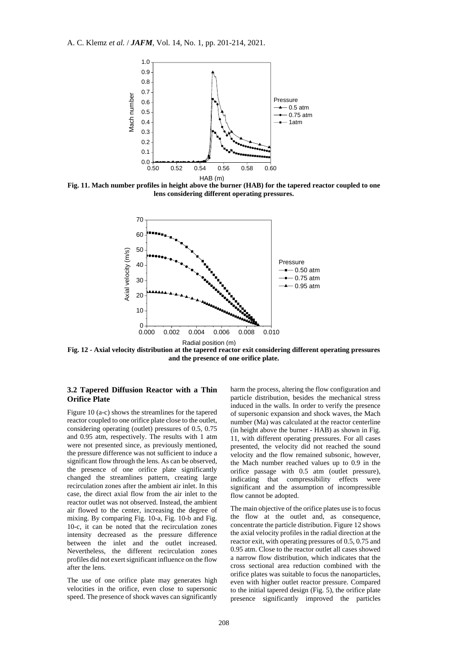

**Fig. 11. Mach number profiles in height above the burner (HAB) for the tapered reactor coupled to one lens considering different operating pressures.**



**Fig. 12 - Axial velocity distribution at the tapered reactor exit considering different operating pressures and the presence of one orifice plate.**

#### **3.2 Tapered Diffusion Reactor with a Thin Orifice Plate**

Figure 10 (a-c) shows the streamlines for the tapered reactor coupled to one orifice plate close to the outlet, considering operating (outlet) pressures of 0.5, 0.75 and 0.95 atm, respectively. The results with 1 atm were not presented since, as previously mentioned, the pressure difference was not sufficient to induce a significant flow through the lens. As can be observed, the presence of one orifice plate significantly changed the streamlines pattern, creating large recirculation zones after the ambient air inlet. In this case, the direct axial flow from the air inlet to the reactor outlet was not observed. Instead, the ambient air flowed to the center, increasing the degree of mixing. By comparing Fig. 10-a, Fig. 10-b and Fig. 10-c, it can be noted that the recirculation zones intensity decreased as the pressure difference between the inlet and the outlet increased. Nevertheless, the different recirculation zones profiles did not exert significant influence on the flow after the lens.

The use of one orifice plate may generates high velocities in the orifice, even close to supersonic speed. The presence of shock waves can significantly harm the process, altering the flow configuration and particle distribution, besides the mechanical stress induced in the walls. In order to verify the presence of supersonic expansion and shock waves, the Mach number (Ma) was calculated at the reactor centerline (in height above the burner - HAB) as shown in Fig. 11, with different operating pressures. For all cases presented, the velocity did not reached the sound velocity and the flow remained subsonic, however, the Mach number reached values up to 0.9 in the orifice passage with 0.5 atm (outlet pressure), indicating that compressibility effects were significant and the assumption of incompressible flow cannot be adopted.

The main objective of the orifice plates use is to focus the flow at the outlet and, as consequence, concentrate the particle distribution. Figure 12 shows the axial velocity profiles in the radial direction at the reactor exit, with operating pressures of 0.5, 0.75 and 0.95 atm. Close to the reactor outlet all cases showed a narrow flow distribution, which indicates that the cross sectional area reduction combined with the orifice plates was suitable to focus the nanoparticles, even with higher outlet reactor pressure. Compared to the initial tapered design (Fig. 5), the orifice plate presence significantly improved the particles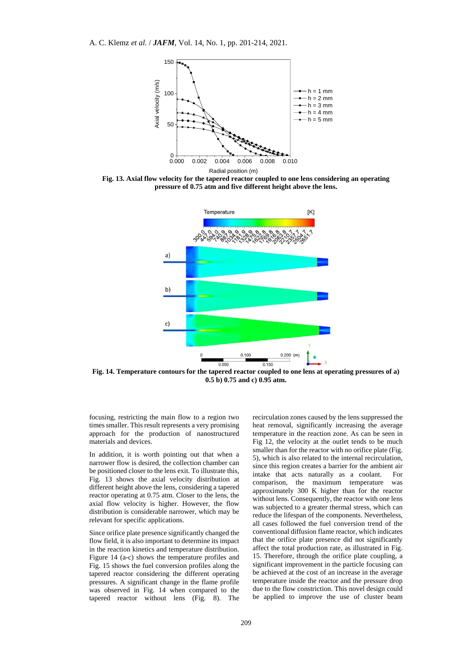

**Fig. 13. Axial flow velocity for the tapered reactor coupled to one lens considering an operating pressure of 0.75 atm and five different height above the lens.**



**Fig. 14. Temperature contours for the tapered reactor coupled to one lens at operating pressures of a) 0.5 b) 0.75 and c) 0.95 atm.**

focusing, restricting the main flow to a region two times smaller. This result represents a very promising approach for the production of nanostructured materials and devices.

In addition, it is worth pointing out that when a narrower flow is desired, the collection chamber can be positioned closer to the lens exit. To illustrate this, Fig. 13 shows the axial velocity distribution at different height above the lens, considering a tapered reactor operating at 0.75 atm. Closer to the lens, the axial flow velocity is higher. However, the flow distribution is considerable narrower, which may be relevant for specific applications.

Since orifice plate presence significantly changed the flow field, it is also important to determine its impact in the reaction kinetics and temperature distribution. Figure 14 (a-c) shows the temperature profiles and Fig. 15 shows the fuel conversion profiles along the tapered reactor considering the different operating pressures. A significant change in the flame profile was observed in Fig. 14 when compared to the tapered reactor without lens (Fig. 8). The recirculation zones caused by the lens suppressed the heat removal, significantly increasing the average temperature in the reaction zone. As can be seen in Fig 12, the velocity at the outlet tends to be much smaller than for the reactor with no orifice plate (Fig. 5), which is also related to the internal recirculation, since this region creates a barrier for the ambient air intake that acts naturally as a coolant. For comparison, the maximum temperature was approximately 300 K higher than for the reactor without lens. Consequently, the reactor with one lens was subjected to a greater thermal stress, which can reduce the lifespan of the components. Nevertheless, all cases followed the fuel conversion trend of the conventional diffusion flame reactor, which indicates that the orifice plate presence did not significantly affect the total production rate, as illustrated in Fig. 15. Therefore, through the orifice plate coupling, a significant improvement in the particle focusing can be achieved at the cost of an increase in the average temperature inside the reactor and the pressure drop due to the flow constriction. This novel design could be applied to improve the use of cluster beam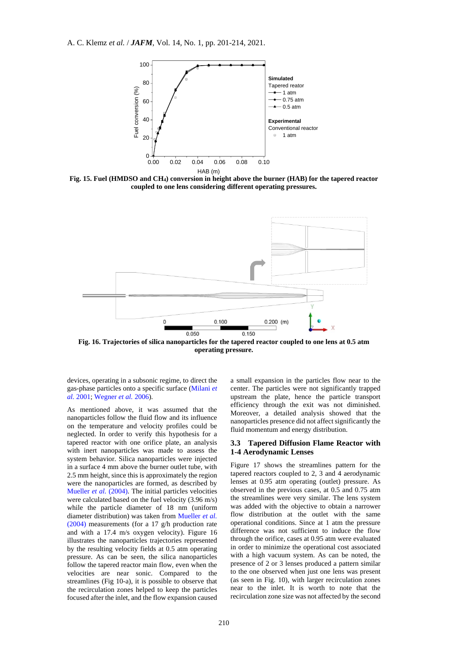A. C. Klemz *et al.* / *JAFM*, Vol. 14, No. 1, pp. 201-214, 2021.



**Fig. 15. Fuel (HMDSO and CH4) conversion in height above the burner (HAB) for the tapered reactor coupled to one lens considering different operating pressures.**



**Fig. 16. Trajectories of silica nanoparticles for the tapered reactor coupled to one lens at 0.5 atm operating pressure.**

devices, operating in a subsonic regime, to direct the gas-phase particles onto a specific surface [\(Milani](#page-12-14) *et al.* [2001;](#page-12-14) [Wegner](#page-13-2) *et al.* 2006).

As mentioned above, it was assumed that the nanoparticles follow the fluid flow and its influence on the temperature and velocity profiles could be neglected. In order to verify this hypothesis for a tapered reactor with one orifice plate, an analysis with inert nanoparticles was made to assess the system behavior. Silica nanoparticles were injected in a surface 4 mm above the burner outlet tube, with 2.5 mm height, since this is approximately the region were the nanoparticles are formed, as described by [Mueller](#page-13-11) *et al.* (2004). The initial particles velocities were calculated based on the fuel velocity (3.96 m/s) while the particle diameter of 18 nm (uniform diameter distribution) was taken from [Mueller](#page-13-11) *et al.* [\(2004\)](#page-13-11) measurements (for a 17 g/h production rate and with a 17.4 m/s oxygen velocity). Figure 16 illustrates the nanoparticles trajectories represented by the resulting velocity fields at 0.5 atm operating pressure. As can be seen, the silica nanoparticles follow the tapered reactor main flow, even when the velocities are near sonic. Compared to the streamlines (Fig 10-a), it is possible to observe that the recirculation zones helped to keep the particles focused after the inlet, and the flow expansion caused a small expansion in the particles flow near to the center. The particles were not significantly trapped upstream the plate, hence the particle transport efficiency through the exit was not diminished. Moreover, a detailed analysis showed that the nanoparticles presence did not affect significantly the fluid momentum and energy distribution.

#### **3.3 Tapered Diffusion Flame Reactor with 1-4 Aerodynamic Lenses**

Figure 17 shows the streamlines pattern for the tapered reactors coupled to 2, 3 and 4 aerodynamic lenses at 0.95 atm operating (outlet) pressure. As observed in the previous cases, at 0.5 and 0.75 atm the streamlines were very similar. The lens system was added with the objective to obtain a narrower flow distribution at the outlet with the same operational conditions. Since at 1 atm the pressure difference was not sufficient to induce the flow through the orifice, cases at 0.95 atm were evaluated in order to minimize the operational cost associated with a high vacuum system. As can be noted, the presence of 2 or 3 lenses produced a pattern similar to the one observed when just one lens was present (as seen in Fig. 10), with larger recirculation zones near to the inlet. It is worth to note that the recirculation zone size was not affected by the second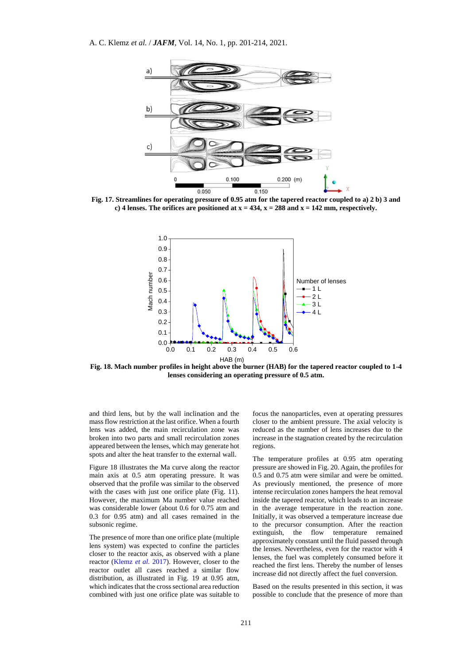

**Fig. 17. Streamlines for operating pressure of 0.95 atm for the tapered reactor coupled to a) 2 b) 3 and c)** 4 lenses. The orifices are positioned at  $x = 434$ ,  $x = 288$  and  $x = 142$  mm, respectively.



**Fig. 18. Mach number profiles in height above the burner (HAB) for the tapered reactor coupled to 1-4 lenses considering an operating pressure of 0.5 atm.**

and third lens, but by the wall inclination and the mass flow restriction at the last orifice. When a fourth lens was added, the main recirculation zone was broken into two parts and small recirculation zones appeared between the lenses, which may generate hot spots and alter the heat transfer to the external wall.

Figure 18 illustrates the Ma curve along the reactor main axis at 0.5 atm operating pressure. It was observed that the profile was similar to the observed with the cases with just one orifice plate (Fig. 11). However, the maximum Ma number value reached was considerable lower (about 0.6 for 0.75 atm and 0.3 for 0.95 atm) and all cases remained in the subsonic regime.

The presence of more than one orifice plate (multiple lens system) was expected to confine the particles closer to the reactor axis, as observed with a plane reactor [\(Klemz](#page-12-13) *et al.* 2017). However, closer to the reactor outlet all cases reached a similar flow distribution, as illustrated in Fig. 19 at 0.95 atm, which indicates that the cross sectional area reduction combined with just one orifice plate was suitable to focus the nanoparticles, even at operating pressures closer to the ambient pressure. The axial velocity is reduced as the number of lens increases due to the increase in the stagnation created by the recirculation regions.

The temperature profiles at 0.95 atm operating pressure are showed in Fig. 20. Again, the profiles for 0.5 and 0.75 atm were similar and were be omitted. As previously mentioned, the presence of more intense recirculation zones hampers the heat removal inside the tapered reactor, which leads to an increase in the average temperature in the reaction zone. Initially, it was observed a temperature increase due to the precursor consumption. After the reaction extinguish, the flow temperature remained approximately constant until the fluid passed through the lenses. Nevertheless, even for the reactor with 4 lenses, the fuel was completely consumed before it reached the first lens. Thereby the number of lenses increase did not directly affect the fuel conversion.

Based on the results presented in this section, it was possible to conclude that the presence of more than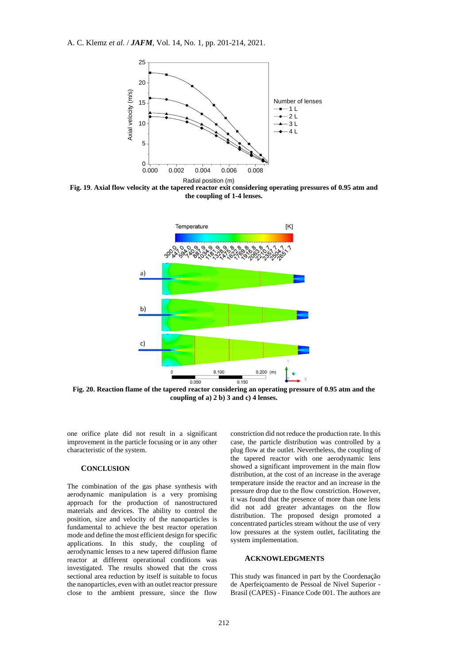

**Fig. 19**. **Axial flow velocity at the tapered reactor exit considering operating pressures of 0.95 atm and the coupling of 1-4 lenses.**



**Fig. 20. Reaction flame of the tapered reactor considering an operating pressure of 0.95 atm and the coupling of a) 2 b) 3 and c) 4 lenses.**

one orifice plate did not result in a significant improvement in the particle focusing or in any other characteristic of the system.

#### **CONCLUSION**

The combination of the gas phase synthesis with aerodynamic manipulation is a very promising approach for the production of nanostructured materials and devices. The ability to control the position, size and velocity of the nanoparticles is fundamental to achieve the best reactor operation mode and define the most efficient design for specific applications. In this study, the coupling of aerodynamic lenses to a new tapered diffusion flame reactor at different operational conditions was investigated. The results showed that the cross sectional area reduction by itself is suitable to focus the nanoparticles, even with an outlet reactor pressure close to the ambient pressure, since the flow constriction did not reduce the production rate. In this case, the particle distribution was controlled by a plug flow at the outlet. Nevertheless, the coupling of the tapered reactor with one aerodynamic lens showed a significant improvement in the main flow distribution, at the cost of an increase in the average temperature inside the reactor and an increase in the pressure drop due to the flow constriction. However, it was found that the presence of more than one lens did not add greater advantages on the flow distribution. The proposed design promoted a concentrated particles stream without the use of very low pressures at the system outlet, facilitating the system implementation.

# **ACKNOWLEDGMENTS**

This study was financed in part by the Coordenação de Aperfeiçoamento de Pessoal de Nível Superior - Brasil (CAPES) - Finance Code 001. The authors are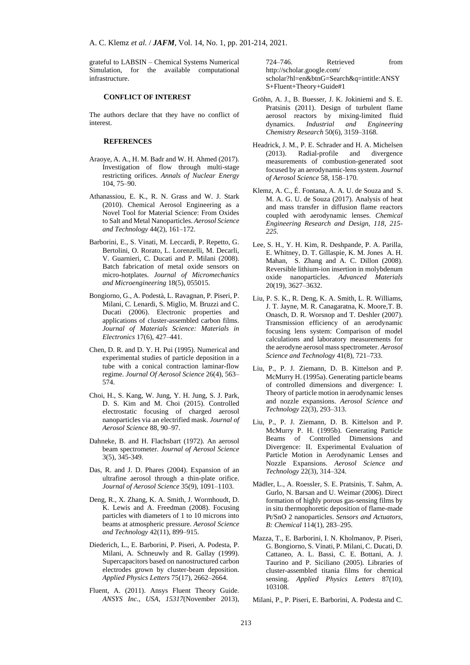grateful to LABSIN – Chemical Systems Numerical Simulation, for the available computational infrastructure.

#### **CONFLICT OF INTEREST**

The authors declare that they have no conflict of interest.

#### **REFERENCES**

- Araoye, A. A., H. M. Badr and W. H. Ahmed (2017). Investigation of flow through multi-stage restricting orifices. *Annals of Nuclear Energy* 104, 75–90.
- <span id="page-12-2"></span>Athanassiou, E. K., R. N. Grass and W. J. Stark (2010). Chemical Aerosol Engineering as a Novel Tool for Material Science: From Oxides to Salt and Metal Nanoparticles. *Aerosol Science and Technology* 44(2), 161–172.
- Barborini, E., S. Vinati, M. Leccardi, P. Repetto, G. Bertolini, O. Rorato, L. Lorenzelli, M. Decarli, V. Guarnieri, C. Ducati and P. Milani (2008). Batch fabrication of metal oxide sensors on micro-hotplates. *Journal of Micromechanics and Microengineering* 18(5), 055015.
- Bongiorno, G., A. Podestà, L. Ravagnan, P. Piseri, P. Milani, C. Lenardi, S. Miglio, M. Bruzzi and C. Ducati (2006). Electronic properties and applications of cluster-assembled carbon films. *Journal of Materials Science: Materials in Electronics* 17(6), 427–441.
- <span id="page-12-7"></span>Chen, D. R. and D. Y. H. Pui (1995). Numerical and experimental studies of particle deposition in a tube with a conical contraction laminar-flow regime. *Journal Of Aerosol Science* 26(4), 563– 574.
- <span id="page-12-3"></span>Choi, H., S. Kang, W. Jung, Y. H. Jung, S. J. Park, D. S. Kim and M. Choi (2015). Controlled electrostatic focusing of charged aerosol nanoparticles via an electrified mask. *Journal of Aerosol Science* 88, 90–97.
- <span id="page-12-4"></span>Dahneke, B. and H. Flachsbart (1972). An aerosol beam spectrometer. *Journal of Aerosol Science* 3(5), 345-349.
- <span id="page-12-5"></span>Das, R. and J. D. Phares (2004). Expansion of an ultrafine aerosol through a thin-plate orifice. *Journal of Aerosol Science* 35(9), 1091–1103.
- <span id="page-12-6"></span>Deng, R., X. Zhang, K. A. Smith, J. Wormhoudt, D. K. Lewis and A. Freedman (2008). Focusing particles with diameters of 1 to 10 microns into beams at atmospheric pressure. *Aerosol Science and Technology* 42(11), 899–915.
- <span id="page-12-1"></span>Diederich, L., E. Barborini, P. Piseri, A. Podesta, P. Milani, A. Schneuwly and R. Gallay (1999). Supercapacitors based on nanostructured carbon electrodes grown by cluster-beam deposition. *Applied Physics Letters* 75(17), 2662–2664.
- <span id="page-12-11"></span>Fluent, A. (2011). Ansys Fluent Theory Guide. *ANSYS Inc., USA*, *15317*(November 2013),

724–746. Retrieved from http://scholar.google.com/ scholar?hl=en&btnG=Search&q=intitle:ANSY S+Fluent+Theory+Guide#1

- <span id="page-12-12"></span>Gröhn, A. J., B. Buesser, J. K. Jokiniemi and S. E. Pratsinis (2011). Design of turbulent flame aerosol reactors by mixing-limited fluid dynamics. *Industrial and Engineering Chemistry Research* 50(6), 3159–3168.
- <span id="page-12-10"></span>Headrick, J. M., P. E. Schrader and H. A. Michelsen (2013). Radial-profile and divergence measurements of combustion-generated soot focused by an aerodynamic-lens system. *Journal of Aerosol Science* 58, 158–170.
- <span id="page-12-13"></span>Klemz, A. C., É. Fontana, A. A. U. de Souza and S. M. A. G. U. de Souza (2017). Analysis of heat and mass transfer in diffusion flame reactors coupled with aerodynamic lenses. *Chemical Engineering Research and Design, 118, 215- 225.*
- Lee, S. H., Y. H. Kim, R. Deshpande, P. A. Parilla, E. Whitney, D. T. Gillaspie, K. M. Jones A. H. Mahan, S. Zhang and A. C. Dillon (2008). Reversible lithium-ion insertion in molybdenum oxide nanoparticles. *Advanced Materials* 20(19), 3627–3632.
- Liu, P. S. K., R. Deng, K. A. Smith, L. R. Williams, J. T. Jayne, M. R. Canagaratna, K. Moore,T. B. Onasch, D. R. Worsnop and T. Deshler (2007). Transmission efficiency of an aerodynamic focusing lens system: Comparison of model calculations and laboratory measurements for the aerodyne aerosol mass spectrometer. *Aerosol Science and Technology* 41(8), 721–733.
- <span id="page-12-8"></span>Liu, P., P. J. Ziemann, D. B. Kittelson and P. McMurry H. (1995a). Generating particle beams of controlled dimensions and divergence: I. Theory of particle motion in aerodynamic lenses and nozzle expansions. *Aerosol Science and Technology* 22(3), 293–313.
- <span id="page-12-9"></span>Liu, P., P. J. Ziemann, D. B. Kittelson and P. McMurry P. H. (1995b). Generating Particle Beams of Controlled Dimensions and Divergence: II. Experimental Evaluation of Particle Motion in Aerodynamic Lenses and Nozzle Expansions. *Aerosol Science and Technology* 22(3), 314–324.
- <span id="page-12-0"></span>Mädler, L., A. Roessler, S. E. Pratsinis, T. Sahm, A. Gurlo, N. Barsan and U. Weimar (2006). Direct formation of highly porous gas-sensing films by in situ thermophoretic deposition of flame-made Pt/SnO 2 nanoparticles. *Sensors and Actuators, B: Chemical* 114(1), 283–295.
- Mazza, T., E. Barborini, I. N. Kholmanov, P. Piseri, G. Bongiorno, S. Vinati, P. Milani, C. Ducati, D. Cattaneo, A. L. Bassi, C. E. Bottani, A. J. Taurino and P. Siciliano (2005). Libraries of cluster-assembled titania films for chemical sensing. *Applied Physics Letters* 87(10), 103108.

<span id="page-12-14"></span>Milani, P., P. Piseri, E. Barborini, A. Podesta and C.